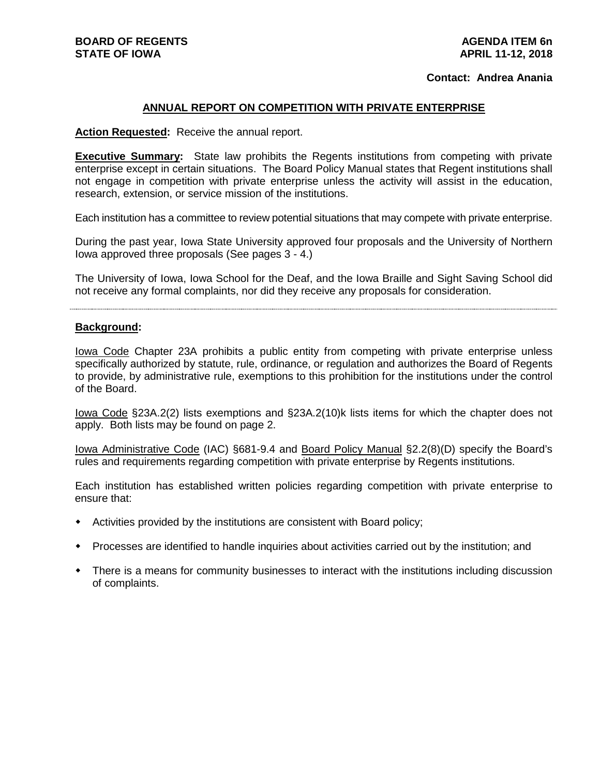#### **Contact: Andrea Anania**

### **ANNUAL REPORT ON COMPETITION WITH PRIVATE ENTERPRISE**

**Action Requested:** Receive the annual report.

**Executive Summary:** State law prohibits the Regents institutions from competing with private enterprise except in certain situations. The Board Policy Manual states that Regent institutions shall not engage in competition with private enterprise unless the activity will assist in the education, research, extension, or service mission of the institutions.

Each institution has a committee to review potential situations that may compete with private enterprise.

During the past year, Iowa State University approved four proposals and the University of Northern Iowa approved three proposals (See pages 3 - 4.)

The University of Iowa, Iowa School for the Deaf, and the Iowa Braille and Sight Saving School did not receive any formal complaints, nor did they receive any proposals for consideration.

### **Background:**

Iowa Code Chapter 23A prohibits a public entity from competing with private enterprise unless specifically authorized by statute, rule, ordinance, or regulation and authorizes the Board of Regents to provide, by administrative rule, exemptions to this prohibition for the institutions under the control of the Board.

Iowa Code §23A.2(2) lists exemptions and §23A.2(10)k lists items for which the chapter does not apply. Both lists may be found on page 2.

Iowa Administrative Code (IAC) §681-9.4 and Board Policy Manual §2.2(8)(D) specify the Board's rules and requirements regarding competition with private enterprise by Regents institutions.

Each institution has established written policies regarding competition with private enterprise to ensure that:

- Activities provided by the institutions are consistent with Board policy;
- Processes are identified to handle inquiries about activities carried out by the institution; and
- There is a means for community businesses to interact with the institutions including discussion of complaints.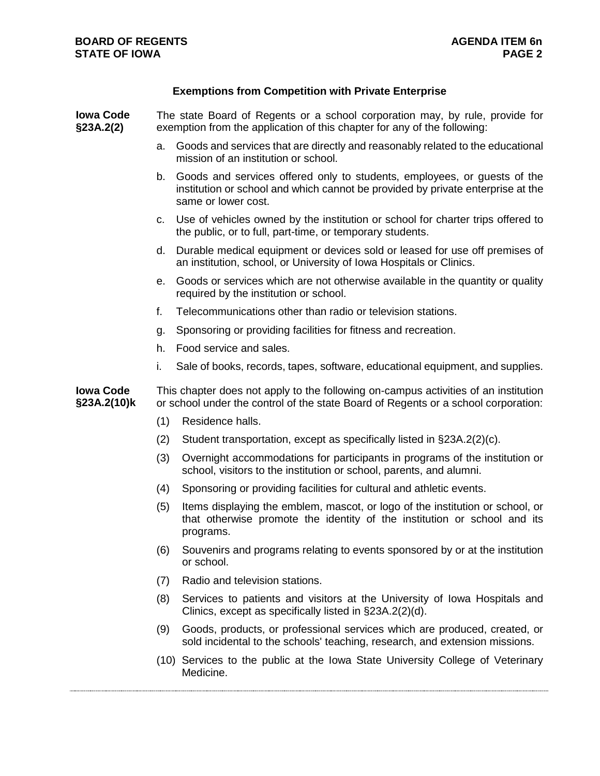# **Exemptions from Competition with Private Enterprise**

| <b>Iowa Code</b><br>§23A.2(2)   | The state Board of Regents or a school corporation may, by rule, provide for<br>exemption from the application of this chapter for any of the following:                  |                                                                                                                                                                                    |
|---------------------------------|---------------------------------------------------------------------------------------------------------------------------------------------------------------------------|------------------------------------------------------------------------------------------------------------------------------------------------------------------------------------|
|                                 | a.                                                                                                                                                                        | Goods and services that are directly and reasonably related to the educational<br>mission of an institution or school.                                                             |
|                                 | b.                                                                                                                                                                        | Goods and services offered only to students, employees, or guests of the<br>institution or school and which cannot be provided by private enterprise at the<br>same or lower cost. |
|                                 | C.                                                                                                                                                                        | Use of vehicles owned by the institution or school for charter trips offered to<br>the public, or to full, part-time, or temporary students.                                       |
|                                 | d.                                                                                                                                                                        | Durable medical equipment or devices sold or leased for use off premises of<br>an institution, school, or University of Iowa Hospitals or Clinics.                                 |
|                                 | е.                                                                                                                                                                        | Goods or services which are not otherwise available in the quantity or quality<br>required by the institution or school.                                                           |
|                                 | f.                                                                                                                                                                        | Telecommunications other than radio or television stations.                                                                                                                        |
|                                 | g.                                                                                                                                                                        | Sponsoring or providing facilities for fitness and recreation.                                                                                                                     |
|                                 | h.                                                                                                                                                                        | Food service and sales.                                                                                                                                                            |
|                                 | i.                                                                                                                                                                        | Sale of books, records, tapes, software, educational equipment, and supplies.                                                                                                      |
| <b>Iowa Code</b><br>§23A.2(10)k | This chapter does not apply to the following on-campus activities of an institution<br>or school under the control of the state Board of Regents or a school corporation: |                                                                                                                                                                                    |
|                                 | (1)                                                                                                                                                                       | Residence halls.                                                                                                                                                                   |
|                                 | (2)                                                                                                                                                                       | Student transportation, except as specifically listed in §23A.2(2)(c).                                                                                                             |
|                                 | (3)                                                                                                                                                                       | Overnight accommodations for participants in programs of the institution or<br>school, visitors to the institution or school, parents, and alumni.                                 |
|                                 | (4)                                                                                                                                                                       | Sponsoring or providing facilities for cultural and athletic events.                                                                                                               |
|                                 | (5)                                                                                                                                                                       | Items displaying the emblem, mascot, or logo of the institution or school, or<br>that otherwise promote the identity of the institution or school and its<br>programs.             |
|                                 |                                                                                                                                                                           | (6) Souvenirs and programs relating to events sponsored by or at the institution<br>or school.                                                                                     |
|                                 | (7)                                                                                                                                                                       | Radio and television stations.                                                                                                                                                     |
|                                 | (8)                                                                                                                                                                       | Services to patients and visitors at the University of Iowa Hospitals and<br>Clinics, except as specifically listed in §23A.2(2)(d).                                               |
|                                 | (9)                                                                                                                                                                       | Goods, products, or professional services which are produced, created, or<br>sold incidental to the schools' teaching, research, and extension missions.                           |
|                                 |                                                                                                                                                                           | (10) Services to the public at the Iowa State University College of Veterinary<br>Medicine.                                                                                        |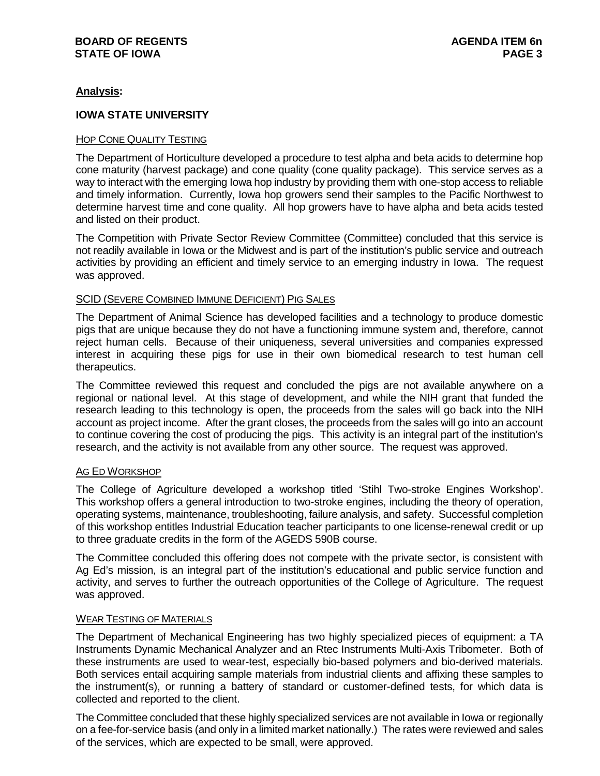# **Analysis:**

# **IOWA STATE UNIVERSITY**

## HOP CONE QUALITY TESTING

The Department of Horticulture developed a procedure to test alpha and beta acids to determine hop cone maturity (harvest package) and cone quality (cone quality package). This service serves as a way to interact with the emerging Iowa hop industry by providing them with one-stop access to reliable and timely information. Currently, Iowa hop growers send their samples to the Pacific Northwest to determine harvest time and cone quality. All hop growers have to have alpha and beta acids tested and listed on their product.

The Competition with Private Sector Review Committee (Committee) concluded that this service is not readily available in Iowa or the Midwest and is part of the institution's public service and outreach activities by providing an efficient and timely service to an emerging industry in Iowa. The request was approved.

### SCID (SEVERE COMBINED IMMUNE DEFICIENT) PIG SALES

The Department of Animal Science has developed facilities and a technology to produce domestic pigs that are unique because they do not have a functioning immune system and, therefore, cannot reject human cells. Because of their uniqueness, several universities and companies expressed interest in acquiring these pigs for use in their own biomedical research to test human cell therapeutics.

The Committee reviewed this request and concluded the pigs are not available anywhere on a regional or national level. At this stage of development, and while the NIH grant that funded the research leading to this technology is open, the proceeds from the sales will go back into the NIH account as project income. After the grant closes, the proceeds from the sales will go into an account to continue covering the cost of producing the pigs. This activity is an integral part of the institution's research, and the activity is not available from any other source. The request was approved.

#### AG ED WORKSHOP

The College of Agriculture developed a workshop titled 'Stihl Two-stroke Engines Workshop'. This workshop offers a general introduction to two-stroke engines, including the theory of operation, operating systems, maintenance, troubleshooting, failure analysis, and safety. Successful completion of this workshop entitles Industrial Education teacher participants to one license-renewal credit or up to three graduate credits in the form of the AGEDS 590B course.

The Committee concluded this offering does not compete with the private sector, is consistent with Ag Ed's mission, is an integral part of the institution's educational and public service function and activity, and serves to further the outreach opportunities of the College of Agriculture. The request was approved.

## WEAR TESTING OF MATERIALS

The Department of Mechanical Engineering has two highly specialized pieces of equipment: a TA Instruments Dynamic Mechanical Analyzer and an Rtec Instruments Multi-Axis Tribometer. Both of these instruments are used to wear-test, especially bio-based polymers and bio-derived materials. Both services entail acquiring sample materials from industrial clients and affixing these samples to the instrument(s), or running a battery of standard or customer-defined tests, for which data is collected and reported to the client.

The Committee concluded that these highly specialized services are not available in Iowa or regionally on a fee-for-service basis (and only in a limited market nationally.) The rates were reviewed and sales of the services, which are expected to be small, were approved.